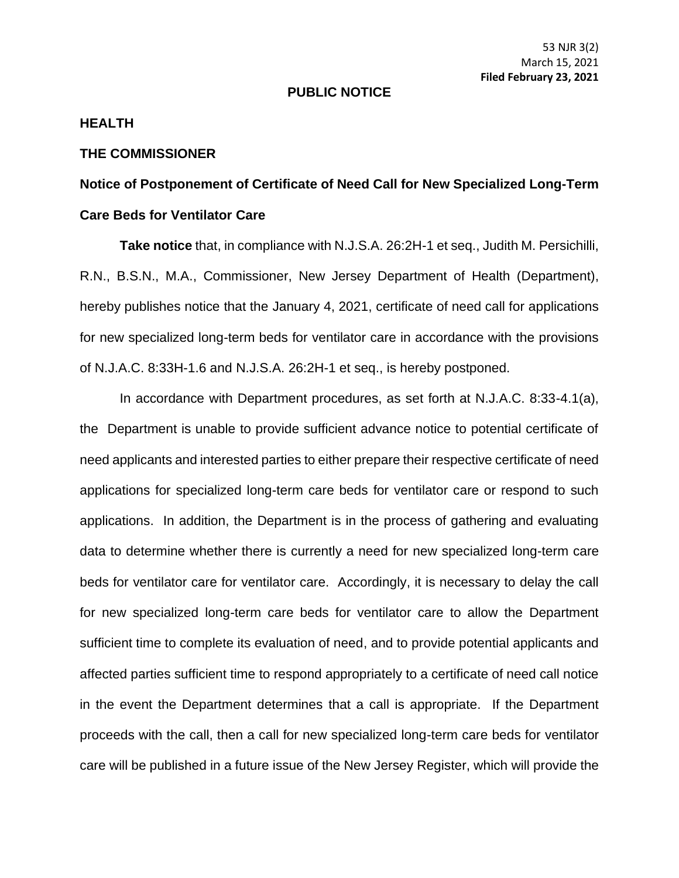## **PUBLIC NOTICE**

## **HEALTH**

## **THE COMMISSIONER**

## **Notice of Postponement of Certificate of Need Call for New Specialized Long-Term Care Beds for Ventilator Care**

**Take notice** that, in compliance with N.J.S.A. 26:2H-1 et seq., Judith M. Persichilli, R.N., B.S.N., M.A., Commissioner, New Jersey Department of Health (Department), hereby publishes notice that the January 4, 2021, certificate of need call for applications for new specialized long-term beds for ventilator care in accordance with the provisions of N.J.A.C. 8:33H-1.6 and N.J.S.A. 26:2H-1 et seq., is hereby postponed.

In accordance with Department procedures, as set forth at N.J.A.C. 8:33-4.1(a), the Department is unable to provide sufficient advance notice to potential certificate of need applicants and interested parties to either prepare their respective certificate of need applications for specialized long-term care beds for ventilator care or respond to such applications. In addition, the Department is in the process of gathering and evaluating data to determine whether there is currently a need for new specialized long-term care beds for ventilator care for ventilator care. Accordingly, it is necessary to delay the call for new specialized long-term care beds for ventilator care to allow the Department sufficient time to complete its evaluation of need, and to provide potential applicants and affected parties sufficient time to respond appropriately to a certificate of need call notice in the event the Department determines that a call is appropriate. If the Department proceeds with the call, then a call for new specialized long-term care beds for ventilator care will be published in a future issue of the New Jersey Register, which will provide the